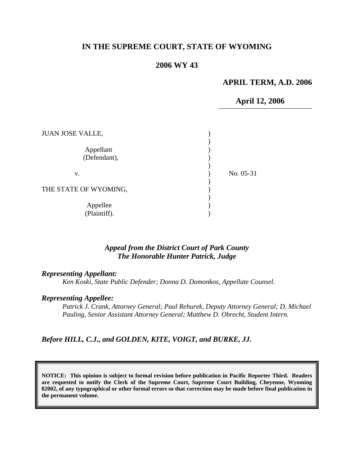# **IN THE SUPREME COURT, STATE OF WYOMING**

## **2006 WY 43**

### **APRIL TERM, A.D. 2006**

### **April 12, 2006**

| <b>JUAN JOSE VALLE,</b>   |           |
|---------------------------|-----------|
| Appellant<br>(Defendant), |           |
| V.                        | No. 05-31 |
| THE STATE OF WYOMING,     |           |
| Appellee<br>(Plaintiff).  |           |

## *Appeal from the District Court of Park County The Honorable Hunter Patrick, Judge*

### *Representing Appellant:*

*Ken Koski, State Public Defender; Donna D. Domonkos, Appellate Counsel.* 

#### *Representing Appellee:*

*Patrick J. Crank, Attorney General; Paul Rehurek, Deputy Attorney General; D. Michael Pauling, Senior Assistant Attorney General; Matthew D. Obrecht, Student Intern.* 

*Before HILL, C.J., and GOLDEN, KITE, VOIGT, and BURKE, JJ.* 

**NOTICE: This opinion is subject to formal revision before publication in Pacific Reporter Third. Readers are requested to notify the Clerk of the Supreme Court, Supreme Court Building, Cheyenne, Wyoming 82002, of any typographical or other formal errors so that correction may be made before final publication in the permanent volume.**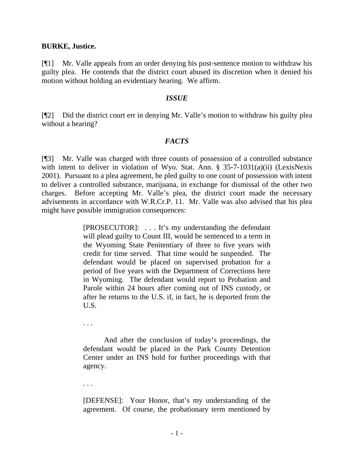### **BURKE, Justice.**

[¶1] Mr. Valle appeals from an order denying his post-sentence motion to withdraw his guilty plea. He contends that the district court abused its discretion when it denied his motion without holding an evidentiary hearing. We affirm.

### *ISSUE*

[¶2] Did the district court err in denying Mr. Valle's motion to withdraw his guilty plea without a hearing?

## *FACTS*

[¶3] Mr. Valle was charged with three counts of possession of a controlled substance with intent to deliver in violation of Wyo. Stat. Ann. § 35-7-1031(a)(ii) (LexisNexis 2001). Pursuant to a plea agreement, he pled guilty to one count of possession with intent to deliver a controlled substance, marijuana, in exchange for dismissal of the other two charges. Before accepting Mr. Valle's plea, the district court made the necessary advisements in accordance with W.R.Cr.P. 11. Mr. Valle was also advised that his plea might have possible immigration consequences:

> [PROSECUTOR]: . . . It's my understanding the defendant will plead guilty to Count III, would be sentenced to a term in the Wyoming State Penitentiary of three to five years with credit for time served. That time would be suspended. The defendant would be placed on supervised probation for a period of five years with the Department of Corrections here in Wyoming. The defendant would report to Probation and Parole within 24 hours after coming out of INS custody, or after he returns to the U.S. if, in fact, he is deported from the U.S.

. . .

And after the conclusion of today's proceedings, the defendant would be placed in the Park County Detention Center under an INS hold for further proceedings with that agency.

. . .

[DEFENSE]: Your Honor, that's my understanding of the agreement. Of course, the probationary term mentioned by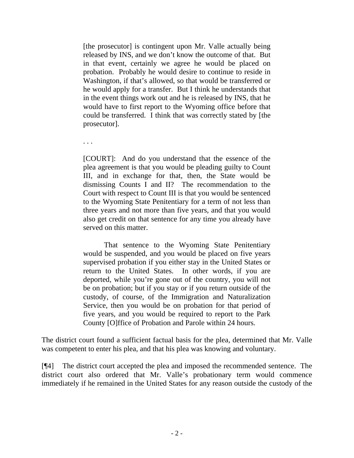[the prosecutor] is contingent upon Mr. Valle actually being released by INS, and we don't know the outcome of that. But in that event, certainly we agree he would be placed on probation. Probably he would desire to continue to reside in Washington, if that's allowed, so that would be transferred or he would apply for a transfer. But I think he understands that in the event things work out and he is released by INS, that he would have to first report to the Wyoming office before that could be transferred. I think that was correctly stated by [the prosecutor].

. . .

[COURT]: And do you understand that the essence of the plea agreement is that you would be pleading guilty to Count III, and in exchange for that, then, the State would be dismissing Counts I and II? The recommendation to the Court with respect to Count III is that you would be sentenced to the Wyoming State Penitentiary for a term of not less than three years and not more than five years, and that you would also get credit on that sentence for any time you already have served on this matter.

That sentence to the Wyoming State Penitentiary would be suspended, and you would be placed on five years supervised probation if you either stay in the United States or return to the United States. In other words, if you are deported, while you're gone out of the country, you will not be on probation; but if you stay or if you return outside of the custody, of course, of the Immigration and Naturalization Service, then you would be on probation for that period of five years, and you would be required to report to the Park County [O]ffice of Probation and Parole within 24 hours.

The district court found a sufficient factual basis for the plea, determined that Mr. Valle was competent to enter his plea, and that his plea was knowing and voluntary.

[¶4] The district court accepted the plea and imposed the recommended sentence. The district court also ordered that Mr. Valle's probationary term would commence immediately if he remained in the United States for any reason outside the custody of the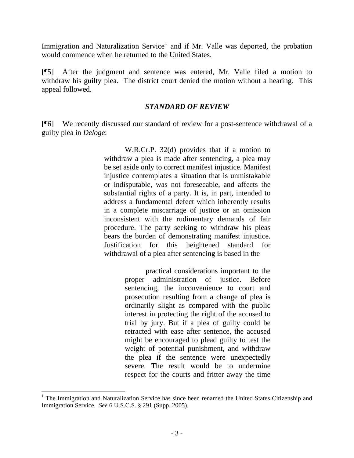Immigration and Naturalization Service<sup>[1](#page-3-0)</sup> and if Mr. Valle was deported, the probation would commence when he returned to the United States.

[¶5] After the judgment and sentence was entered, Mr. Valle filed a motion to withdraw his guilty plea. The district court denied the motion without a hearing. This appeal followed.

## *STANDARD OF REVIEW*

[¶6] We recently discussed our standard of review for a post-sentence withdrawal of a guilty plea in *Deloge*:

> W.R.Cr.P. 32(d) provides that if a motion to withdraw a plea is made after sentencing, a plea may be set aside only to correct manifest injustice. Manifest injustice contemplates a situation that is unmistakable or indisputable, was not foreseeable, and affects the substantial rights of a party. It is, in part, intended to address a fundamental defect which inherently results in a complete miscarriage of justice or an omission inconsistent with the rudimentary demands of fair procedure. The party seeking to withdraw his pleas bears the burden of demonstrating manifest injustice. Justification for this heightened standard for withdrawal of a plea after sentencing is based in the

> > practical considerations important to the proper administration of justice. Before sentencing, the inconvenience to court and prosecution resulting from a change of plea is ordinarily slight as compared with the public interest in protecting the right of the accused to trial by jury. But if a plea of guilty could be retracted with ease after sentence, the accused might be encouraged to plead guilty to test the weight of potential punishment, and withdraw the plea if the sentence were unexpectedly severe. The result would be to undermine respect for the courts and fritter away the time

 $\overline{a}$ 

<span id="page-3-0"></span><sup>&</sup>lt;sup>1</sup> The Immigration and Naturalization Service has since been renamed the United States Citizenship and Immigration Service. *See* 6 U.S.C.S. § 291 (Supp. 2005).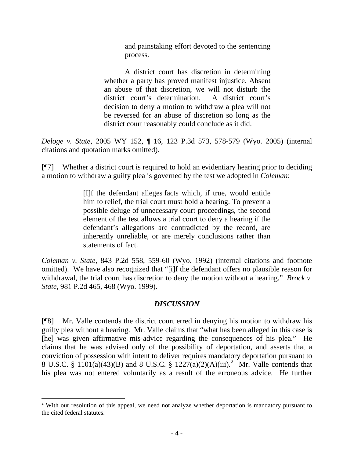and painstaking effort devoted to the sentencing process.

 A district court has discretion in determining whether a party has proved manifest injustice. Absent an abuse of that discretion, we will not disturb the district court's determination. A district court's decision to deny a motion to withdraw a plea will not be reversed for an abuse of discretion so long as the district court reasonably could conclude as it did.

*Deloge v. State*[, 2005 WY 152, ¶ 16, 123 P.3d 573, 578-579 \(Wyo. 2005\)](http://www.lexis.com/research/xlink?app=00075&view=full&searchtype=get&search=2005+WY+152%2C+P16) (internal citations and quotation marks omitted).

[¶7] Whether a district court is required to hold an evidentiary hearing prior to deciding a motion to withdraw a guilty plea is governed by the test we adopted in *Coleman*:

> [I]f the defendant alleges facts which, if true, would entitle him to relief, the trial court must hold a hearing. To prevent a possible deluge of unnecessary court proceedings, the second element of the test allows a trial court to deny a hearing if the defendant's allegations are contradicted by the record, are inherently unreliable, or are merely conclusions rather than statements of fact.

*Coleman v. State*, 843 P.2d 558, 559-60 (Wyo. 1992) (internal citations and footnote omitted). We have also recognized that "[i]f the defendant offers no plausible reason for withdrawal, the trial court has discretion to deny the motion without a hearing." *Brock v. State*[, 981 P.2d 465, 468 \(Wyo. 1999\)](http://www.lexis.com/research/xlink?app=00075&view=full&searchtype=get&search=981+P.2d+468).

# *DISCUSSION*

[¶8] Mr. Valle contends the district court erred in denying his motion to withdraw his guilty plea without a hearing. Mr. Valle claims that "what has been alleged in this case is [he] was given affirmative mis-advice regarding the consequences of his plea." He claims that he was advised only of the possibility of deportation, and asserts that a conviction of possession with intent to deliver requires mandatory deportation pursuant to 8 U.S.C. § 1101(a)(43)(B) and 8 U.S.C. § 1[2](#page-4-0)27(a)(2)(A)(iii).<sup>2</sup> Mr. Valle contends that his plea was not entered voluntarily as a result of the erroneous advice. He further

 $\overline{a}$ 

<span id="page-4-0"></span> $2$  With our resolution of this appeal, we need not analyze whether deportation is mandatory pursuant to the cited federal statutes.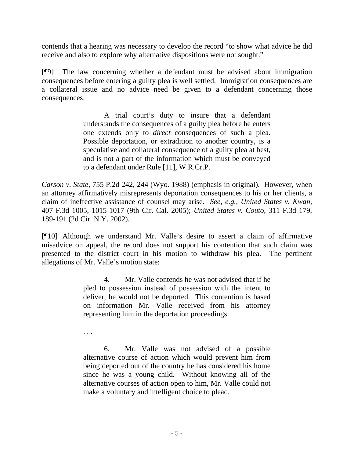contends that a hearing was necessary to develop the record "to show what advice he did receive and also to explore why alternative dispositions were not sought."

[¶9] The law concerning whether a defendant must be advised about immigration consequences before entering a guilty plea is well settled. Immigration consequences are a collateral issue and no advice need be given to a defendant concerning those consequences:

> A trial court's duty to insure that a defendant understands the consequences of a guilty plea before he enters one extends only to *direct* consequences of such a plea. Possible deportation, or extradition to another country, is a speculative and collateral consequence of a guilty plea at best, and is not a part of the information which must be conveyed to a defendant under Rule [11], W.R.Cr.P.

*Carson v. State*[, 755 P.2d 242, 244](http://www.lexis.com/research/xlink?app=00075&view=full&searchtype=get&search=755+P.2d+244) (Wyo. 1988) (emphasis in original). However, when an attorney affirmatively misrepresents deportation consequences to his or her clients, a claim of ineffective assistance of counsel may arise. *See, e.g., United States v. Kwan,*  407 F.3d 1005, 1015-1017 (9th Cir. Cal. 2005); *United States v. Couto*, 311 F.3d 179, 189-191 (2d Cir. N.Y. 2002).

[¶10] Although we understand Mr. Valle's desire to assert a claim of affirmative misadvice on appeal, the record does not support his contention that such claim was presented to the district court in his motion to withdraw his plea. The pertinent allegations of Mr. Valle's motion state:

> 4. Mr. Valle contends he was not advised that if he pled to possession instead of possession with the intent to deliver, he would not be deported. This contention is based on information Mr. Valle received from his attorney representing him in the deportation proceedings.

. . .

 6. Mr. Valle was not advised of a possible alternative course of action which would prevent him from being deported out of the country he has considered his home since he was a young child. Without knowing all of the alternative courses of action open to him, Mr. Valle could not make a voluntary and intelligent choice to plead.